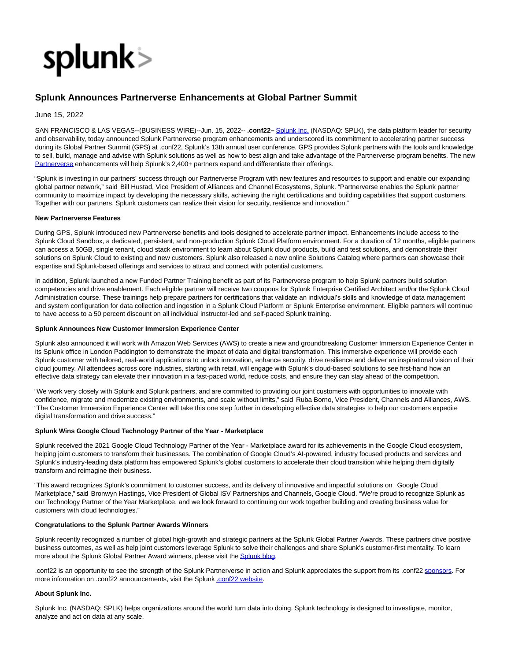

# **Splunk Announces Partnerverse Enhancements at Global Partner Summit**

June 15, 2022

SAN FRANCISCO & LAS VEGAS--(BUSINESS WIRE)--Jun. 15, 2022-- **.conf22–** [Splunk Inc. \(](https://cts.businesswire.com/ct/CT?id=smartlink&url=http%3A%2F%2Fwww.splunk.com%2F&esheet=52750256&newsitemid=20220615005382&lan=en-US&anchor=Splunk+Inc.&index=1&md5=9d379945df63a8356aba406f2c6eb2a4)NASDAQ: SPLK), the data platform leader for security and observability, today announced Splunk Partnerverse program enhancements and underscored its commitment to accelerating partner success during its Global Partner Summit (GPS) at .conf22, Splunk's 13th annual user conference. GPS provides Splunk partners with the tools and knowledge to sell, build, manage and advise with Splunk solutions as well as how to best align and take advantage of the Partnerverse program benefits. The new [Partnerverse e](https://cts.businesswire.com/ct/CT?id=smartlink&url=https%3A%2F%2Fwww.splunk.com%2Fen_us%2Fpartners.html&esheet=52750256&newsitemid=20220615005382&lan=en-US&anchor=Partnerverse&index=2&md5=0382056cbb23ad127177868fbdc5df90)nhancements will help Splunk's 2,400+ partners expand and differentiate their offerings.

"Splunk is investing in our partners' success through our Partnerverse Program with new features and resources to support and enable our expanding global partner network," said Bill Hustad, Vice President of Alliances and Channel Ecosystems, Splunk. "Partnerverse enables the Splunk partner community to maximize impact by developing the necessary skills, achieving the right certifications and building capabilities that support customers. Together with our partners, Splunk customers can realize their vision for security, resilience and innovation."

## **New Partnerverse Features**

During GPS, Splunk introduced new Partnerverse benefits and tools designed to accelerate partner impact. Enhancements include access to the Splunk Cloud Sandbox, a dedicated, persistent, and non-production Splunk Cloud Platform environment. For a duration of 12 months, eligible partners can access a 50GB, single tenant, cloud stack environment to learn about Splunk cloud products, build and test solutions, and demonstrate their solutions on Splunk Cloud to existing and new customers. Splunk also released a new online Solutions Catalog where partners can showcase their expertise and Splunk-based offerings and services to attract and connect with potential customers.

In addition, Splunk launched a new Funded Partner Training benefit as part of its Partnerverse program to help Splunk partners build solution competencies and drive enablement. Each eligible partner will receive two coupons for Splunk Enterprise Certified Architect and/or the Splunk Cloud Administration course. These trainings help prepare partners for certifications that validate an individual's skills and knowledge of data management and system configuration for data collection and ingestion in a Splunk Cloud Platform or Splunk Enterprise environment. Eligible partners will continue to have access to a 50 percent discount on all individual instructor-led and self-paced Splunk training.

### **Splunk Announces New Customer Immersion Experience Center**

Splunk also announced it will work with Amazon Web Services (AWS) to create a new and groundbreaking Customer Immersion Experience Center in its Splunk office in London Paddington to demonstrate the impact of data and digital transformation. This immersive experience will provide each Splunk customer with tailored, real-world applications to unlock innovation, enhance security, drive resilience and deliver an inspirational vision of their cloud journey. All attendees across core industries, starting with retail, will engage with Splunk's cloud-based solutions to see first-hand how an effective data strategy can elevate their innovation in a fast-paced world, reduce costs, and ensure they can stay ahead of the competition.

"We work very closely with Splunk and Splunk partners, and are committed to providing our joint customers with opportunities to innovate with confidence, migrate and modernize existing environments, and scale without limits," said Ruba Borno, Vice President, Channels and Alliances, AWS. "The Customer Immersion Experience Center will take this one step further in developing effective data strategies to help our customers expedite digital transformation and drive success."

# **Splunk Wins Google Cloud Technology Partner of the Year - Marketplace**

Splunk received the 2021 Google Cloud Technology Partner of the Year - Marketplace award for its achievements in the Google Cloud ecosystem, helping joint customers to transform their businesses. The combination of Google Cloud's AI-powered, industry focused products and services and Splunk's industry-leading data platform has empowered Splunk's global customers to accelerate their cloud transition while helping them digitally transform and reimagine their business.

"This award recognizes Splunk's commitment to customer success, and its delivery of innovative and impactful solutions on Google Cloud Marketplace," said Bronwyn Hastings, Vice President of Global ISV Partnerships and Channels, Google Cloud. "We're proud to recognize Splunk as our Technology Partner of the Year Marketplace, and we look forward to continuing our work together building and creating business value for customers with cloud technologies."

#### **Congratulations to the Splunk Partner Awards Winners**

Splunk recently recognized a number of global high-growth and strategic partners at the Splunk Global Partner Awards. These partners drive positive business outcomes, as well as help joint customers leverage Splunk to solve their challenges and share Splunk's customer-first mentality. To learn more about the Splunk Global Partner Award winners, please visit th[e Splunk blog.](https://cts.businesswire.com/ct/CT?id=smartlink&url=https%3A%2F%2Fwww.splunk.com%2Fen_us%2Fblog%2Fconf-splunklive%2Fannouncing-the-2022-splunk-global-partner-awards-winners.html&esheet=52750256&newsitemid=20220615005382&lan=en-US&anchor=Splunk+blog&index=3&md5=e74cdd555410b5458a61d78e90200a51)

.conf22 is an opportunity to see the strength of the Splunk Partnerverse in action and Splunk appreciates the support from its .conf2[2 sponsors.](https://cts.businesswire.com/ct/CT?id=smartlink&url=https%3A%2F%2Fconf.splunk.com%2Fsponsors.html%23%2F&esheet=52750256&newsitemid=20220615005382&lan=en-US&anchor=sponsors&index=4&md5=ca7d50bf6f49758c5d1514dbb7527cec) For more information on .conf22 announcements, visit the Splun[k .conf22 website.](https://cts.businesswire.com/ct/CT?id=smartlink&url=https%3A%2F%2Fconf.splunk.com%2F&esheet=52750256&newsitemid=20220615005382&lan=en-US&anchor=.conf22+website&index=5&md5=8c5fb90ed3df2737e50036a11c5e06cf)

## **About Splunk Inc.**

Splunk Inc. (NASDAQ: SPLK) helps organizations around the world turn data into doing. Splunk technology is designed to investigate, monitor, analyze and act on data at any scale.